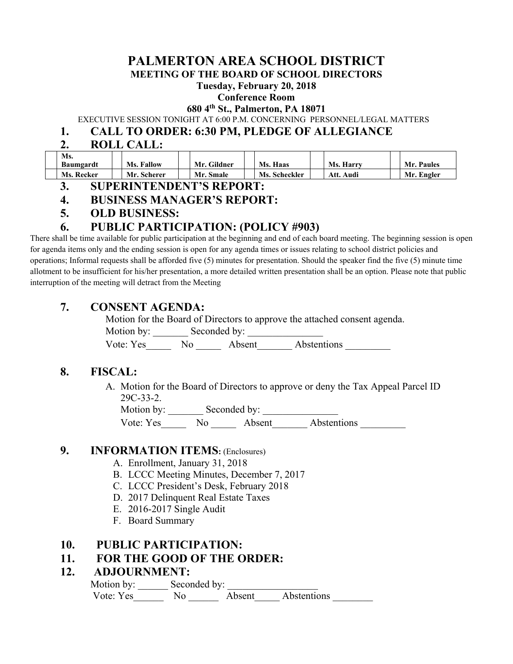# **PALMERTON AREA SCHOOL DISTRICT**

**MEETING OF THE BOARD OF SCHOOL DIRECTORS** 

#### **Tuesday, February 20, 2018**

#### **Conference Room**

#### **680 4th St., Palmerton, PA 18071**

EXECUTIVE SESSION TONIGHT AT 6:00 P.M. CONCERNING PERSONNEL/LEGAL MATTERS

## **1. CALL TO ORDER: 6:30 PM, PLEDGE OF ALLEGIANCE**

# **2. ROLL CALL:**

| Ms.        |                   |             |                 |                  |            |
|------------|-------------------|-------------|-----------------|------------------|------------|
| Baumgardt  | <b>Ms. Fallow</b> | Mr. Gildner | <b>Ms. Haas</b> | <b>Ms. Harry</b> | Mr. Paules |
| Ms. Recker | Mr. Scherer       | Mr. Smale   | Ms. Scheckler   | : Audi<br>Att.   | Mr. Engler |

#### **3. SUPERINTENDENT'S REPORT:**

# **4. BUSINESS MANAGER'S REPORT:**

**5. OLD BUSINESS:** 

# **6. PUBLIC PARTICIPATION: (POLICY #903)**

There shall be time available for public participation at the beginning and end of each board meeting. The beginning session is open for agenda items only and the ending session is open for any agenda times or issues relating to school district policies and operations; Informal requests shall be afforded five (5) minutes for presentation. Should the speaker find the five (5) minute time allotment to be insufficient for his/her presentation, a more detailed written presentation shall be an option. Please note that public interruption of the meeting will detract from the Meeting

# **7. CONSENT AGENDA:**

Motion for the Board of Directors to approve the attached consent agenda.

Motion by: \_\_\_\_\_\_\_\_\_ Seconded by: \_\_\_\_\_\_\_\_\_\_

Vote: Yes No No Absent Abstentions

# **8. FISCAL:**

A. Motion for the Board of Directors to approve or deny the Tax Appeal Parcel ID 29C-33-2.

Motion by: Seconded by: Vote: Yes No Absent Abstentions

# **9. INFORMATION ITEMS:** (Enclosures)

- A. Enrollment, January 31, 2018
- B. LCCC Meeting Minutes, December 7, 2017
- C. LCCC President's Desk, February 2018
- D. 2017 Delinquent Real Estate Taxes
- E. 2016-2017 Single Audit
- F. Board Summary

#### **10. PUBLIC PARTICIPATION:**

# **11. FOR THE GOOD OF THE ORDER:**

#### **12. ADJOURNMENT:**

Motion by: \_\_\_\_\_\_\_\_\_ Seconded by: Vote: Yes No No Absent Abstentions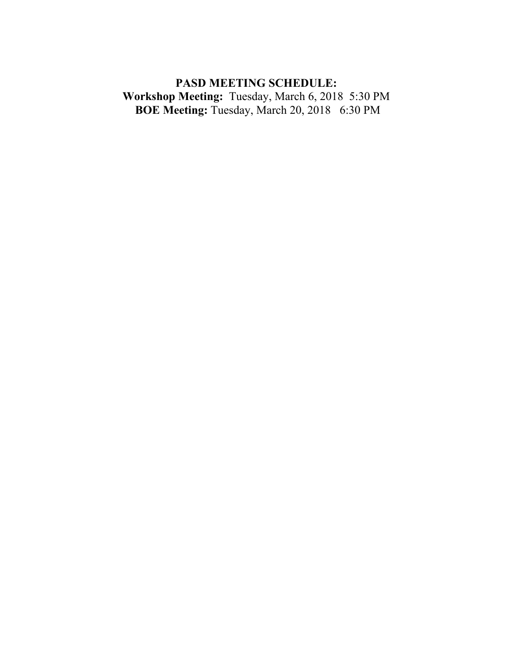# **PASD MEETING SCHEDULE: Workshop Meeting:** Tuesday, March 6, 2018 5:30 PM  **BOE Meeting:** Tuesday, March 20, 20186:30 PM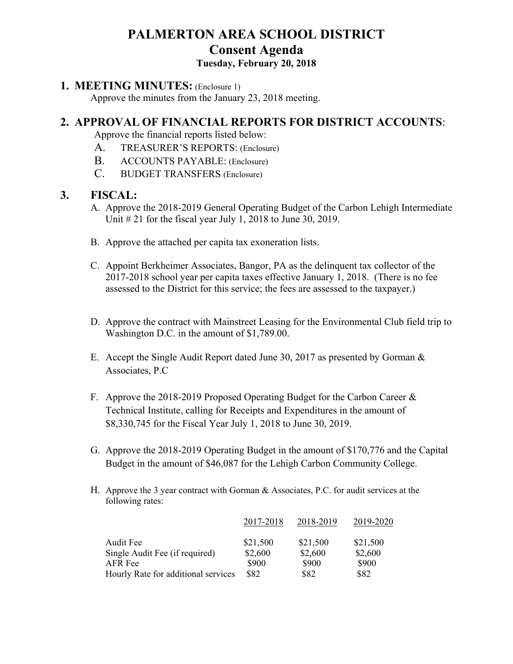# **PALMERTON AREA SCHOOL DISTRICT Consent Agenda**

# **Tuesday, February 20, 2018**

## **1. MEETING MINUTES:** (Enclosure 1)

Approve the minutes from the January 23, 2018 meeting.

# **2. APPROVAL OF FINANCIAL REPORTS FOR DISTRICT ACCOUNTS**:

Approve the financial reports listed below:

- A. TREASURER'S REPORTS: (Enclosure)
- B. ACCOUNTS PAYABLE: (Enclosure)
- C. BUDGET TRANSFERS (Enclosure)

# **3. FISCAL:**

- A. Approve the 2018-2019 General Operating Budget of the Carbon Lehigh Intermediate Unit  $\#$  21 for the fiscal year July 1, 2018 to June 30, 2019.
- B. Approve the attached per capita tax exoneration lists.
- C. Appoint Berkheimer Associates, Bangor, PA as the delinquent tax collector of the 2017-2018 school year per capita taxes effective January 1, 2018. (There is no fee assessed to the District for this service; the fees are assessed to the taxpayer.)
- D. Approve the contract with Mainstreet Leasing for the Environmental Club field trip to Washington D.C. in the amount of \$1,789.00.
- E. Accept the Single Audit Report dated June 30, 2017 as presented by Gorman & Associates, P.C
- F. Approve the 2018-2019 Proposed Operating Budget for the Carbon Career & Technical Institute, calling for Receipts and Expenditures in the amount of \$8,330,745 for the Fiscal Year July 1, 2018 to June 30, 2019.
- G. Approve the 2018-2019 Operating Budget in the amount of \$170,776 and the Capital Budget in the amount of \$46,087 for the Lehigh Carbon Community College.
- H. Approve the 3 year contract with Gorman & Associates, P.C. for audit services at the following rates:

|                                     | 2017-2018 | 2018-2019 | 2019-2020 |
|-------------------------------------|-----------|-----------|-----------|
| Audit Fee                           | \$21,500  | \$21,500  | \$21,500  |
| Single Audit Fee (if required)      | \$2,600   | \$2,600   | \$2,600   |
| AFR Fee                             | \$900     | \$900     | \$900     |
| Hourly Rate for additional services | \$82      | \$82      | \$82      |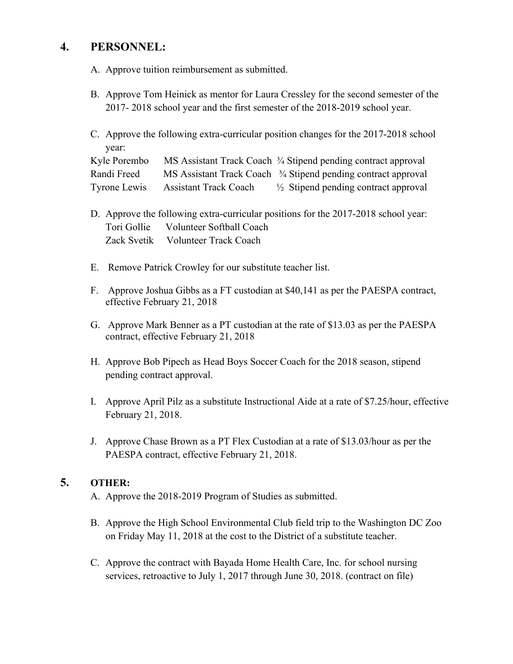# **4. PERSONNEL:**

- A. Approve tuition reimbursement as submitted.
- B. Approve Tom Heinick as mentor for Laura Cressley for the second semester of the 2017- 2018 school year and the first semester of the 2018-2019 school year.
- C. Approve the following extra-curricular position changes for the 2017-2018 school year:

| Kyle Porembo |                              | MS Assistant Track Coach <sup>3</sup> / <sub>4</sub> Stipend pending contract approval |
|--------------|------------------------------|----------------------------------------------------------------------------------------|
| Randi Freed  |                              | MS Assistant Track Coach <sup>3</sup> / <sub>4</sub> Stipend pending contract approval |
| Tyrone Lewis | <b>Assistant Track Coach</b> | $\frac{1}{2}$ Stipend pending contract approval                                        |

- D. Approve the following extra-curricular positions for the 2017-2018 school year: Tori Gollie Volunteer Softball Coach Zack Svetik Volunteer Track Coach
- E. Remove Patrick Crowley for our substitute teacher list.
- F. Approve Joshua Gibbs as a FT custodian at \$40,141 as per the PAESPA contract, effective February 21, 2018
- G. Approve Mark Benner as a PT custodian at the rate of \$13.03 as per the PAESPA contract, effective February 21, 2018
- H. Approve Bob Pipech as Head Boys Soccer Coach for the 2018 season, stipend pending contract approval.
- I. Approve April Pilz as a substitute Instructional Aide at a rate of \$7.25/hour, effective February 21, 2018.
- J. Approve Chase Brown as a PT Flex Custodian at a rate of \$13.03/hour as per the PAESPA contract, effective February 21, 2018.

# **5. OTHER:**

- A. Approve the 2018-2019 Program of Studies as submitted.
- B. Approve the High School Environmental Club field trip to the Washington DC Zoo on Friday May 11, 2018 at the cost to the District of a substitute teacher.
- C. Approve the contract with Bayada Home Health Care, Inc. for school nursing services, retroactive to July 1, 2017 through June 30, 2018. (contract on file)